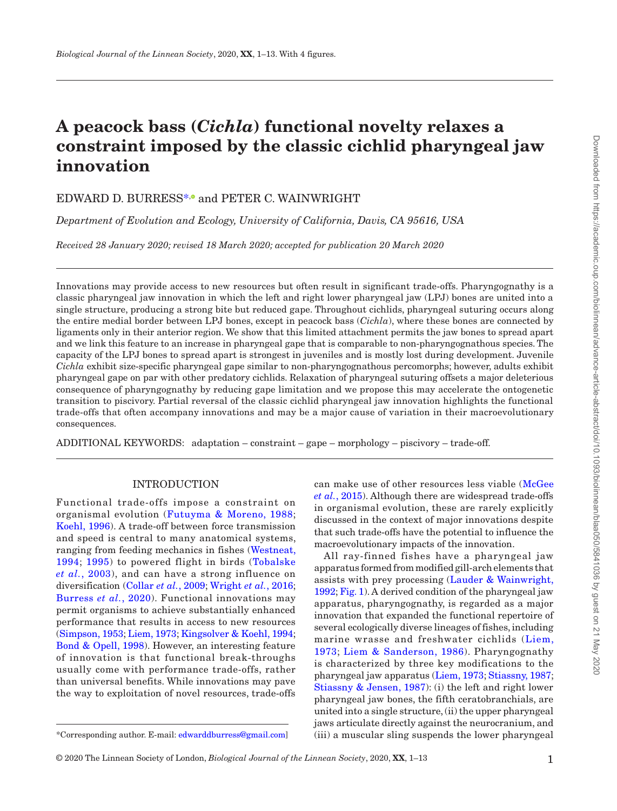# **A peacock bass (***Cichla***) functional novelty relaxes a constraint imposed by the classic cichlid pharyngeal jaw innovation**

# EDWARD D. BURRESS<sup>[\\*](#page-0-0),</sup> and PETER C. WAINWRIGHT

*Department of Evolution and Ecology, University of California, Davis, CA 95616, USA*

*Received 28 January 2020; revised 18 March 2020; accepted for publication 20 March 2020*

Innovations may provide access to new resources but often result in significant trade-offs. Pharyngognathy is a classic pharyngeal jaw innovation in which the left and right lower pharyngeal jaw (LPJ) bones are united into a single structure, producing a strong bite but reduced gape. Throughout cichlids, pharyngeal suturing occurs along the entire medial border between LPJ bones, except in peacock bass (*Cichla*), where these bones are connected by ligaments only in their anterior region. We show that this limited attachment permits the jaw bones to spread apart and we link this feature to an increase in pharyngeal gape that is comparable to non-pharyngognathous species. The capacity of the LPJ bones to spread apart is strongest in juveniles and is mostly lost during development. Juvenile *Cichla* exhibit size-specific pharyngeal gape similar to non-pharyngognathous percomorphs; however, adults exhibit pharyngeal gape on par with other predatory cichlids. Relaxation of pharyngeal suturing offsets a major deleterious consequence of pharyngognathy by reducing gape limitation and we propose this may accelerate the ontogenetic transition to piscivory. Partial reversal of the classic cichlid pharyngeal jaw innovation highlights the functional trade-offs that often accompany innovations and may be a major cause of variation in their macroevolutionary consequences.

ADDITIONAL KEYWORDS: adaptation – constraint – gape – morphology – piscivory – trade-off.

## INTRODUCTION

Functional trade-offs impose a constraint on organismal evolution ([Futuyma & Moreno, 1988;](#page-9-0) [Koehl, 1996](#page-10-0)). A trade-off between force transmission and speed is central to many anatomical systems, ranging from feeding mechanics in fishes ([Westneat,](#page-11-0) [1994;](#page-11-0) [1995\)](#page-11-1) to powered flight in birds ([Tobalske](#page-11-2) *et al.*[, 2003](#page-11-2)), and can have a strong influence on diversification ([Collar](#page-9-1) *et al.*, 2009; [Wright](#page-12-0) *et al.*, 2016; [Burress](#page-9-2) *et al.*, 2020). Functional innovations may permit organisms to achieve substantially enhanced performance that results in access to new resources [\(Simpson, 1953](#page-11-3); [Liem, 1973](#page-10-1); [Kingsolver & Koehl, 1994](#page-10-2); [Bond & Opell, 1998](#page-9-3)). However, an interesting feature of innovation is that functional break-throughs usually come with performance trade-offs, rather than universal benefits. While innovations may pave the way to exploitation of novel resources, trade-offs

can make use of other resources less viable ([McGee](#page-10-3)  *et al.*[, 2015\)](#page-10-3). Although there are widespread trade-offs in organismal evolution, these are rarely explicitly discussed in the context of major innovations despite that such trade-offs have the potential to influence the macroevolutionary impacts of the innovation.

All ray-finned fishes have a pharyngeal jaw apparatus formed from modified gill-arch elements that assists with prey processing ([Lauder & Wainwright,](#page-10-4) [1992;](#page-10-4) [Fig.](#page-1-0) 1). A derived condition of the pharyngeal jaw apparatus, pharyngognathy, is regarded as a major innovation that expanded the functional repertoire of several ecologically diverse lineages of fishes, including marine wrasse and freshwater cichlids ([Liem,](#page-10-1) [1973](#page-10-1); [Liem & Sanderson, 1986\)](#page-10-5). Pharyngognathy is characterized by three key modifications to the pharyngeal jaw apparatus [\(Liem, 1973](#page-10-1); [Stiassny, 1987](#page-11-4); [Stiassny & Jensen, 1987\)](#page-11-4): (i) the left and right lower pharyngeal jaw bones, the fifth ceratobranchials, are united into a single structure, (ii) the upper pharyngeal jaws articulate directly against the neurocranium, and (iii) a muscular sling suspends the lower pharyngeal

<span id="page-0-0"></span><sup>\*</sup>Corresponding author. E-mail: [edwarddburress@gmail.com\]](mailto:edwarddburress@gmail.com?subject=)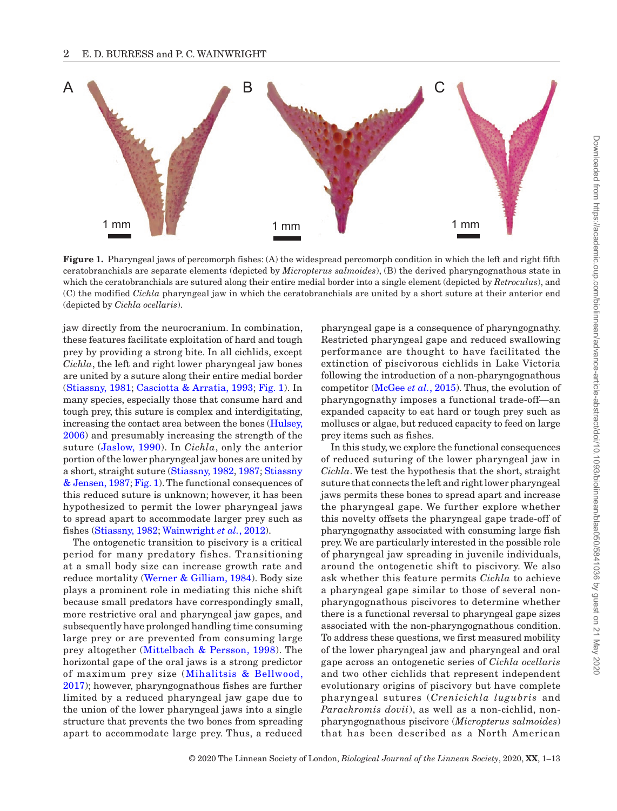

<span id="page-1-0"></span>**Figure 1.** Pharyngeal jaws of percomorph fishes: (A) the widespread percomorph condition in which the left and right fifth ceratobranchials are separate elements (depicted by *Micropterus salmoides*), (B) the derived pharyngognathous state in which the ceratobranchials are sutured along their entire medial border into a single element (depicted by *Retroculus*), and (C) the modified *Cichla* pharyngeal jaw in which the ceratobranchials are united by a short suture at their anterior end (depicted by *Cichla ocellaris*).

jaw directly from the neurocranium. In combination, these features facilitate exploitation of hard and tough prey by providing a strong bite. In all cichlids, except *Cichla*, the left and right lower pharyngeal jaw bones are united by a suture along their entire medial border [\(Stiassny, 1981;](#page-11-5) [Casciotta & Arratia, 1993](#page-9-4); [Fig.](#page-1-0) 1). In many species, especially those that consume hard and tough prey, this suture is complex and interdigitating, increasing the contact area between the bones ([Hulsey,](#page-10-6) [2006](#page-10-6)) and presumably increasing the strength of the suture ([Jaslow, 1990](#page-10-7)). In *Cichla*, only the anterior portion of the lower pharyngeal jaw bones are united by a short, straight suture [\(Stiassny, 1982,](#page-11-6) [1987;](#page-11-7) [Stiassny](#page-11-4) [& Jensen, 1987;](#page-11-4) [Fig.](#page-1-0) 1). The functional consequences of this reduced suture is unknown; however, it has been hypothesized to permit the lower pharyngeal jaws to spread apart to accommodate larger prey such as fishes [\(Stiassny, 1982](#page-11-6); [Wainwright](#page-11-8) *et al.*, 2012).

The ontogenetic transition to piscivory is a critical period for many predatory fishes. Transitioning at a small body size can increase growth rate and reduce mortality [\(Werner & Gilliam, 1984\)](#page-11-9). Body size plays a prominent role in mediating this niche shift because small predators have correspondingly small, more restrictive oral and pharyngeal jaw gapes, and subsequently have prolonged handling time consuming large prey or are prevented from consuming large prey altogether [\(Mittelbach & Persson, 1998](#page-10-8)). The horizontal gape of the oral jaws is a strong predictor of maximum prey size ([Mihalitsis & Bellwood,](#page-10-9) [2017\)](#page-10-9); however, pharyngognathous fishes are further limited by a reduced pharyngeal jaw gape due to the union of the lower pharyngeal jaws into a single structure that prevents the two bones from spreading apart to accommodate large prey. Thus, a reduced

pharyngeal gape is a consequence of pharyngognathy. Restricted pharyngeal gape and reduced swallowing performance are thought to have facilitated the extinction of piscivorous cichlids in Lake Victoria following the introduction of a non-pharyngognathous competitor ([McGee](#page-10-3) *et al.*, 2015). Thus, the evolution of pharyngognathy imposes a functional trade-off—an expanded capacity to eat hard or tough prey such as molluscs or algae, but reduced capacity to feed on large prey items such as fishes.

In this study, we explore the functional consequences of reduced suturing of the lower pharyngeal jaw in *Cichla*. We test the hypothesis that the short, straight suture that connects the left and right lower pharyngeal jaws permits these bones to spread apart and increase the pharyngeal gape. We further explore whether this novelty offsets the pharyngeal gape trade-off of pharyngognathy associated with consuming large fish prey. We are particularly interested in the possible role of pharyngeal jaw spreading in juvenile individuals, around the ontogenetic shift to piscivory. We also ask whether this feature permits *Cichla* to achieve a pharyngeal gape similar to those of several nonpharyngognathous piscivores to determine whether there is a functional reversal to pharyngeal gape sizes associated with the non-pharyngognathous condition. To address these questions, we first measured mobility of the lower pharyngeal jaw and pharyngeal and oral gape across an ontogenetic series of *Cichla ocellaris* and two other cichlids that represent independent evolutionary origins of piscivory but have complete pharyngeal sutures (*Crenicichla lugubris* and *Parachromis dovii*), as well as a non-cichlid, nonpharyngognathous piscivore (*Micropterus salmoides*) that has been described as a North American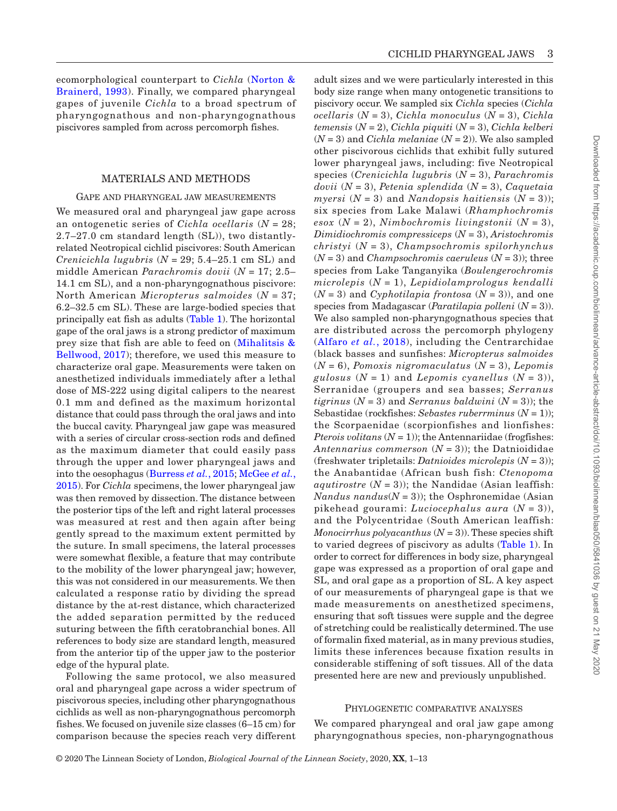ecomorphological counterpart to *Cichla* ([Norton &](#page-10-10) [Brainerd, 1993](#page-10-10)). Finally, we compared pharyngeal gapes of juvenile *Cichla* to a broad spectrum of pharyngognathous and non-pharyngognathous piscivores sampled from across percomorph fishes.

#### MATERIALS AND METHODS

#### Gape and pharyngeal jaw measurements

We measured oral and pharyngeal jaw gape across an ontogenetic series of *Cichla ocellaris* (*N* = 28; 2.7–27.0 cm standard length (SL)), two distantlyrelated Neotropical cichlid piscivores: South American *Crenicichla lugubris*  $(N = 29; 5.4-25.1$  cm SL) and middle American *Parachromis dovii* (*N* = 17; 2.5– 14.1 cm SL), and a non-pharyngognathous piscivore: North American *Micropterus salmoides* (*N* = 37; 6.2–32.5 cm SL). These are large-bodied species that principally eat fish as adults [\(Table](#page-3-0) 1). The horizontal gape of the oral jaws is a strong predictor of maximum prey size that fish are able to feed on [\(Mihalitsis &](#page-10-9) [Bellwood, 2017\)](#page-10-9); therefore, we used this measure to characterize oral gape. Measurements were taken on anesthetized individuals immediately after a lethal dose of MS-222 using digital calipers to the nearest 0.1 mm and defined as the maximum horizontal distance that could pass through the oral jaws and into the buccal cavity. Pharyngeal jaw gape was measured with a series of circular cross-section rods and defined as the maximum diameter that could easily pass through the upper and lower pharyngeal jaws and into the oesophagus [\(Burress](#page-9-5) *et al.*, 2015; [McGee](#page-10-3) *et al.*, [2015\)](#page-10-3). For *Cichla* specimens, the lower pharyngeal jaw was then removed by dissection. The distance between the posterior tips of the left and right lateral processes was measured at rest and then again after being gently spread to the maximum extent permitted by the suture. In small specimens, the lateral processes were somewhat flexible, a feature that may contribute to the mobility of the lower pharyngeal jaw; however, this was not considered in our measurements. We then calculated a response ratio by dividing the spread distance by the at-rest distance, which characterized the added separation permitted by the reduced suturing between the fifth ceratobranchial bones. All references to body size are standard length, measured from the anterior tip of the upper jaw to the posterior edge of the hypural plate.

Following the same protocol, we also measured oral and pharyngeal gape across a wider spectrum of piscivorous species, including other pharyngognathous cichlids as well as non-pharyngognathous percomorph fishes. We focused on juvenile size classes (6–15 cm) for comparison because the species reach very different

adult sizes and we were particularly interested in this body size range when many ontogenetic transitions to piscivory occur. We sampled six *Cichla* species (*Cichla ocellaris* (*N* = 3), *Cichla monoculus* (*N* = 3), *Cichla temensis* (*N* = 2), *Cichla piquiti* (*N* = 3), *Cichla kelberi*  $(N = 3)$  and *Cichla melaniae*  $(N = 2)$ ). We also sampled other piscivorous cichlids that exhibit fully sutured lower pharyngeal jaws, including: five Neotropical species (*Crenicichla lugubris* (*N* = 3), *Parachromis dovii* (*N* = 3), *Petenia splendida* (*N* = 3), *Caquetaia myersi*  $(N = 3)$  and *Nandopsis haitiensis*  $(N = 3)$ ; six species from Lake Malawi (*Rhamphochromis esox* (*N* = 2), *Nimbochromis livingstonii* (*N* = 3), *Dimidiochromis compressiceps* (*N* = 3), *Aristochromis christyi* (*N* = 3), *Champsochromis spilorhynchus* (*N* = 3) and *Champsochromis caeruleus* (*N* = 3)); three species from Lake Tanganyika (*Boulengerochromis microlepis* (*N* = 1), *Lepidiolamprologus kendalli*  $(N = 3)$  and *Cyphotilapia frontosa*  $(N = 3)$ , and one species from Madagascar (*Paratilapia polleni* (*N* = 3)). We also sampled non-pharyngognathous species that are distributed across the percomorph phylogeny ([Alfaro](#page-9-6) *et al.*, 2018), including the Centrarchidae (black basses and sunfishes: *Micropterus salmoides* (*N* = 6), *Pomoxis nigromaculatus* (*N* = 3), *Lepomis gulosus*  $(N = 1)$  and *Lepomis cyanellus*  $(N = 3)$ , Serranidae (groupers and sea basses; *Serranus tigrinus*  $(N = 3)$  and *Serranus baldwini*  $(N = 3)$ ; the Sebastidae (rockfishes: *Sebastes ruberrminus* (*N* = 1)); the Scorpaenidae (scorpionfishes and lionfishes: *Pterois volitans*  $(N = 1)$ ; the Antennariidae (frogfishes: Antennarius commerson  $(N = 3)$ ; the Datnioididae (freshwater tripletails: *Datnioides microlepis* (*N* = 3)); the Anabantidae (African bush fish: *Ctenopoma aqutirostre*  $(N = 3)$ ; the Nandidae (Asian leaffish: *Nandus nandus*( $N = 3$ )); the Osphronemidae (Asian pikehead gourami: *Luciocephalus aura* (*N* = 3)), and the Polycentridae (South American leaffish: *Monocirrhus polyacanthus*  $(N = 3)$ . These species shift to varied degrees of piscivory as adults [\(Table](#page-3-0) 1). In order to correct for differences in body size, pharyngeal gape was expressed as a proportion of oral gape and SL, and oral gape as a proportion of SL. A key aspect of our measurements of pharyngeal gape is that we made measurements on anesthetized specimens, ensuring that soft tissues were supple and the degree of stretching could be realistically determined. The use of formalin fixed material, as in many previous studies, limits these inferences because fixation results in considerable stiffening of soft tissues. All of the data presented here are new and previously unpublished.

#### Phylogenetic comparative analyses

We compared pharyngeal and oral jaw gape among pharyngognathous species, non-pharyngognathous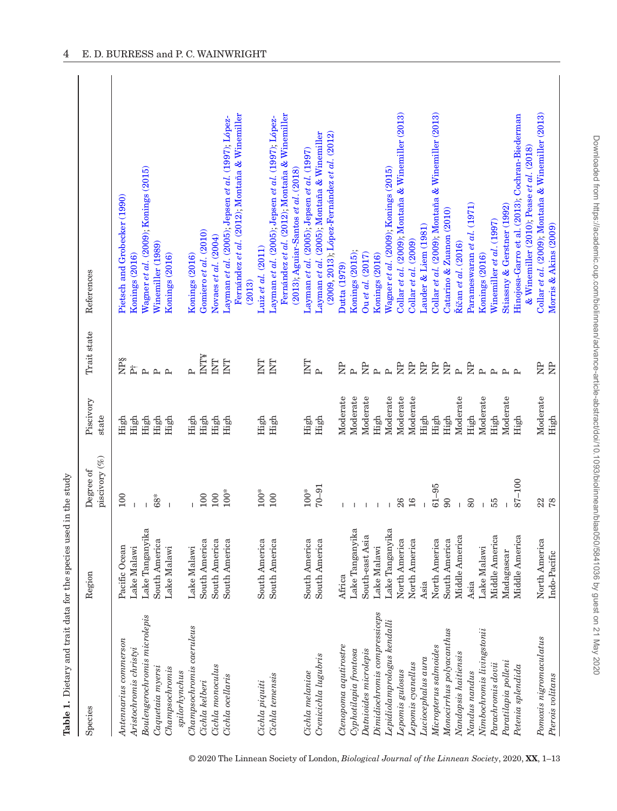| Table 1. Dietary and trait data for the species used in the study |                                  |               |           |                         |                                                                                           |
|-------------------------------------------------------------------|----------------------------------|---------------|-----------|-------------------------|-------------------------------------------------------------------------------------------|
| Species                                                           | Region                           | Degree of     | Piscivory | Trait state             | References                                                                                |
|                                                                   |                                  | piscivory (%) | state     |                         |                                                                                           |
| Antennarius commerson                                             | Pacific Ocean                    | 100           | High      | <b>NPS</b>              | Pietsch and Grobecker (1990)                                                              |
| Aristochromis christyi                                            | Lake Malawi                      |               | High      | 古                       | Konings (2016)                                                                            |
| Boulengerochromis microlepis                                      | Lake Tanganyika                  |               | High      | $\sim$                  | Wagner et al. (2009); Konings (2015)                                                      |
| Caquetaia myersi                                                  | South America                    | $68*$         | High      | $\sim \sim$             | Winemiller (1989)                                                                         |
| Champsochromis                                                    | Lake Malawi                      |               | High      |                         | Konings (2016)                                                                            |
| spilorhynchus                                                     |                                  |               |           |                         |                                                                                           |
| Champsochromis caeruleus                                          | Lake Malawi                      |               | High      | $\mathbf{p}$            | Konings (2016)                                                                            |
| Cichla kelberi                                                    | South America                    | 100           | High      | <b>ALINI</b>            | Gomiero et al. (2010)                                                                     |
| Cichla monoculus                                                  | South America                    | 100           | High      | $\overline{\mathrm{E}}$ | Novaes et al. (2004)                                                                      |
| Cichla ocellaris                                                  | South America                    | $100^*$       | High      | ENL                     | Layman et al. (2005); Jepsen et al. (1997); López-                                        |
|                                                                   |                                  |               |           |                         | Fernández et al. (2012); Montaña & Winemiller<br>(2013)                                   |
| Cichla piquiti                                                    | South America                    | $100^{*}$     | High      | ENL                     | Luiz et al. (2011)                                                                        |
| Cichla temensis                                                   | South America                    | 100           | High      | E                       | Layman et al. (2005); Jepsen et al. (1997); López-                                        |
|                                                                   |                                  |               |           |                         | Fernández et al. (2012); Montaña & Winemiller<br>(2013); Aguiar-Santos et al. (2018)      |
|                                                                   |                                  |               |           |                         |                                                                                           |
| Cichla melaniae                                                   | South America                    | $100^*$       | High      | E                       | Layman et al. (2005); Jepsen et al. (1997)                                                |
| Crenicichla lugubris                                              | South America                    | $70 - 91$     | High      | $\mathbf{p}$            | (2009, 2013); López-Fernández et al. (2012)<br>Layman et al. (2005); Montaña & Winemiller |
| Ctenopoma aqutirostre                                             | Africa                           |               | Moderate  | È                       | Dutta (1979)                                                                              |
| Cyphotilapia frontosa                                             | Lake Tanganyika                  |               | Moderate  | $\mathbf{r}$            | Konings (2015);                                                                           |
| Datnioides microlepis                                             | $\mathfrak{a}$<br>South-east Asi |               | Moderate  | $\approx$               | Ou et al. (2017)                                                                          |
| Dimidiochromis compressiceps                                      | Lake Malawi                      |               | High      | $\mathbf{p}$            | Konings (2016)                                                                            |
| Lepidiolamprologus kendalli                                       | Lake Tanganyika                  |               | Moderate  | $\mathbf{p}$            | Wagner et al. (2009); Konings (2015)                                                      |
| Lepomis gulosus                                                   |                                  | 26            | Moderate  | $\approx$               | Collar et al. (2009); Montaña & Winemiller (2013)                                         |
| Lepomis cyanellus                                                 | North America<br>North America   | 16            | Moderate  | È                       | Collar et $al.$ $(2009)$                                                                  |
| Luciocephalus aura                                                | Asia                             |               | High      | $\approx$               | Lauder & Liem (1981)                                                                      |
| Micropterus salmoides                                             | North America                    | $61 - 95$     | High      | $\approx$               | Collar et al. (2009); Montaña & Winemiller (2013)                                         |
| Monocirthus polyccanthus                                          | South America                    | 90            | High      | $\approx$               | Catarino & Zuanon (2010)                                                                  |
| Nandopsis haitiensis                                              | Middle America                   |               | Moderate  | $\sim$                  | Říčan et al. (2016)                                                                       |
| Nandus nandus                                                     | Asia                             | 80            | High      | E                       | Parameswaran et al. (1971)                                                                |
| Nimbochromis livingstonii                                         | Lake Malawi                      |               | Moderate  | $\mathbf{p}$            | Konings (2016)                                                                            |
| Parachromis dovii                                                 | Middle America                   | 55            | High      | $\sim$                  | Winemiller et al. (1997)                                                                  |
| Paratilapia polleni                                               | Madagascar                       |               | Moderate  | $\sim$                  | Stiassny & Gerstner (1992)                                                                |
| Petenia splendida                                                 | Middle America                   | 87-100        | High      | $\sim$                  | Hinojosa-Garro et al. (2013); Cochran-Biederman                                           |
|                                                                   |                                  |               |           |                         | & Winemiller (2010); Pease et al. (2018)                                                  |
| $Pomoxis$ $nigromaculatus$                                        | North America                    | 22            | Moderate  | $\Xi$                   | Collar et al. (2009); Montaña & Winemiller (2013)                                         |
| Pterois volitans                                                  | Indo-Pacific                     | 78            | High      | $\overline{R}$          | Morris & Akins (2009)                                                                     |

<span id="page-3-0"></span>© 2020 The Linnean Society of London, *Biological Journal of the Linnean Society*, 2020, **XX**, 1–13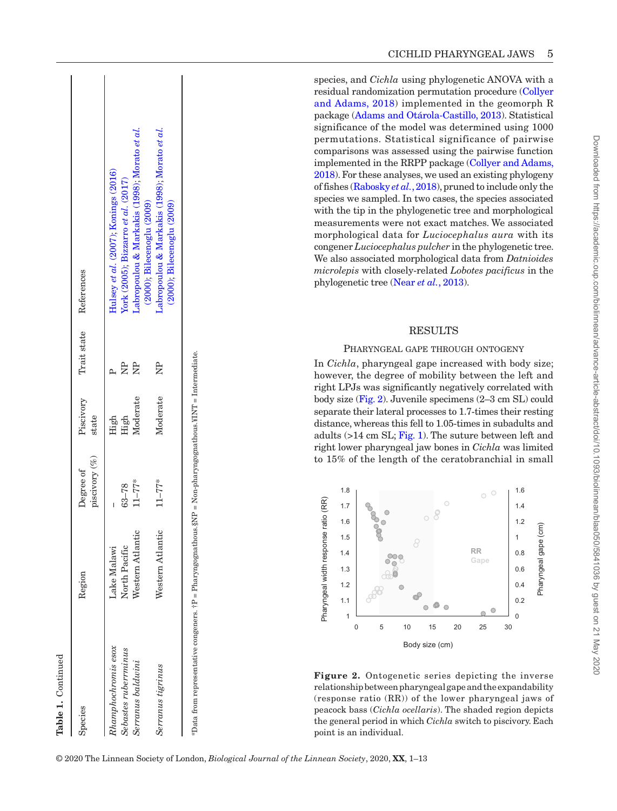| Species                                                                                                    | Region                       | piscivory (%)<br>Degree of | Piscivory<br>state | Trait state | References                                                                     |
|------------------------------------------------------------------------------------------------------------|------------------------------|----------------------------|--------------------|-------------|--------------------------------------------------------------------------------|
| $Rhamphochromis\,esox$<br>Sebastes ruberrminus                                                             | North Pacific<br>Lake Malawi | $63 - 78$                  | High<br>High       | È           | Hulsey et al. (2007); Konings (2016)<br>York (2005); Bizzarro et al. (2017)    |
| Serranus baldwini                                                                                          | Western Atlantic             | $11 - 77$ *                | Moderate           |             | .abropoulou & Markakis (1998); Morato et al.<br>(2000); Bilecenoglu (2009)     |
| Serranus tigrinus                                                                                          | Western Atlantic             | $11 - 77*$                 | Moderate           | È           | abropoulou & Markakis (1998); Morato et al.<br>$(2000)$ ; Bilecenoglu $(2009)$ |
| *Data from representative congeners. †P = Pharyngognathous.§NP = Non-pharyngognathous.¥INT = Intermediate. |                              |                            |                    |             |                                                                                |

species, and *Cichla* using phylogenetic ANOVA with a residual randomization permutation procedure [\(Collyer](#page-9-13) [and Adams, 2018](#page-9-13)) implemented in the geomorph R package ([Adams and Otárola](#page-9-14)‐Castillo, 2013). Statistical significance of the model was determined using 1000 permutations. Statistical significance of pairwise comparisons was assessed using the pairwise function implemented in the RRPP package [\(Collyer and Adams,](#page-9-13) [2018](#page-9-13)). For these analyses, we used an existing phylogeny of fishes [\(Rabosky](#page-11-17) *et al.*, 2018), pruned to include only the species we sampled. In two cases, the species associated with the tip in the phylogenetic tree and morphological measurements were not exact matches. We associated morphological data for *Luciocephalus aura* with its congener *Luciocephalus pulcher* in the phylogenetic tree. We also associated morphological data from *Datnioides microlepis* with closely-related *Lobotes pacificus* in the phylogenetic tree (Near *et al.*[, 2013\)](#page-10-22).

#### **RESULTS**

#### Pharyngeal gape through ontogeny

In *Cichla*, pharyngeal gape increased with body size; however, the degree of mobility between the left and right LPJs was significantly negatively correlated with body size [\(Fig.](#page-4-0) 2). Juvenile specimens (2–3 cm SL) could separate their lateral processes to 1.7-times their resting distance, whereas this fell to 1.05-times in subadults and adults (>14 cm SL; [Fig.](#page-1-0) 1). The suture between left and right lower pharyngeal jaw bones in *Cichla* was limited to 15% of the length of the ceratobranchial in small



<span id="page-4-0"></span>**Figure 2.** Ontogenetic series depicting the inverse relationship between pharyngeal gape and the expandability (response ratio (RR)) of the lower pharyngeal jaws of peacock bass (*Cichla ocellaris*). The shaded region depicts the general period in which *Cichla* switch to piscivory. Each point is an individual.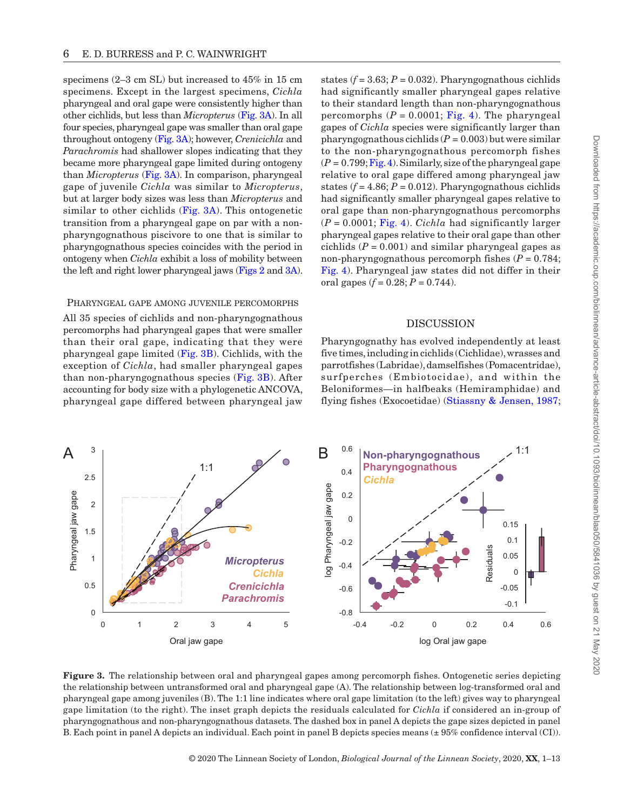Downloaded from https://academic.oup.com/biolinnean/advance-article-abstract/doi/10.1093/biolinnean/blaa050/5841036 by guest on 21 May 2020 Downloaded from https://academic.oup.com/biolinnean/advance-article-abstract/doi/10.1093/biolinnean/blaa050/5841036 by guest on 21 May 2020

specimens (2–3 cm SL) but increased to 45% in 15 cm specimens. Except in the largest specimens, *Cichla* pharyngeal and oral gape were consistently higher than other cichlids, but less than *Micropterus* ([Fig.](#page-5-0) 3A). In all four species, pharyngeal gape was smaller than oral gape throughout ontogeny [\(Fig.](#page-5-0) 3A); however, *Crenicichla* and *Parachromis* had shallower slopes indicating that they became more pharyngeal gape limited during ontogeny than *Micropterus* [\(Fig.](#page-5-0) 3A). In comparison, pharyngeal gape of juvenile *Cichla* was similar to *Micropterus*, but at larger body sizes was less than *Micropterus* and similar to other cichlids [\(Fig.](#page-5-0) 3A). This ontogenetic transition from a pharyngeal gape on par with a nonpharyngognathous piscivore to one that is similar to pharyngognathous species coincides with the period in ontogeny when *Cichla* exhibit a loss of mobility between the left and right lower pharyngeal jaws [\(Figs](#page-4-0) 2 and [3A\)](#page-5-0).

#### Pharyngeal gape among juvenile percomorphs

All 35 species of cichlids and non-pharyngognathous percomorphs had pharyngeal gapes that were smaller than their oral gape, indicating that they were pharyngeal gape limited ([Fig.](#page-5-0) 3B). Cichlids, with the exception of *Cichla*, had smaller pharyngeal gapes than non-pharyngognathous species ([Fig.](#page-5-0) 3B). After accounting for body size with a phylogenetic ANCOVA, pharyngeal gape differed between pharyngeal jaw

states  $(f = 3.63; P = 0.032)$ . Pharyngognathous cichlids had significantly smaller pharyngeal gapes relative to their standard length than non-pharyngognathous percomorphs  $(P = 0.0001$ ; [Fig.](#page-6-0) 4). The pharyngeal gapes of *Cichla* species were significantly larger than pharyngognathous cichlids  $(P = 0.003)$  but were similar to the non-pharyngognathous percomorph fishes  $(P = 0.799; Fig. 4)$ . Similarly, size of the pharyngeal gape relative to oral gape differed among pharyngeal jaw states  $(f = 4.86; P = 0.012)$ . Pharyngognathous cichlids had significantly smaller pharyngeal gapes relative to oral gape than non-pharyngognathous percomorphs  $(P = 0.0001;$  [Fig.](#page-6-0) 4). *Cichla* had significantly larger pharyngeal gapes relative to their oral gape than other cichlids  $(P = 0.001)$  and similar pharyngeal gapes as non-pharyngognathous percomorph fishes  $(P = 0.784;$ [Fig.](#page-6-0) 4). Pharyngeal jaw states did not differ in their oral gapes  $(f = 0.28; P = 0.744)$ .

## DISCUSSION

Pharyngognathy has evolved independently at least five times, including in cichlids (Cichlidae), wrasses and parrotfishes (Labridae), damselfishes (Pomacentridae), surfperches (Embiotocidae), and within the Beloniformes—in halfbeaks (Hemiramphidae) and flying fishes (Exocoetidae) [\(Stiassny & Jensen, 1987;](#page-11-4)



<span id="page-5-0"></span>**Figure 3.** The relationship between oral and pharyngeal gapes among percomorph fishes. Ontogenetic series depicting the relationship between untransformed oral and pharyngeal gape (A). The relationship between log-transformed oral and pharyngeal gape among juveniles (B). The 1:1 line indicates where oral gape limitation (to the left) gives way to pharyngeal gape limitation (to the right). The inset graph depicts the residuals calculated for *Cichla* if considered an in-group of pharyngognathous and non-pharyngognathous datasets. The dashed box in panel A depicts the gape sizes depicted in panel B. Each point in panel A depicts an individual. Each point in panel B depicts species means (± 95% confidence interval (CI)).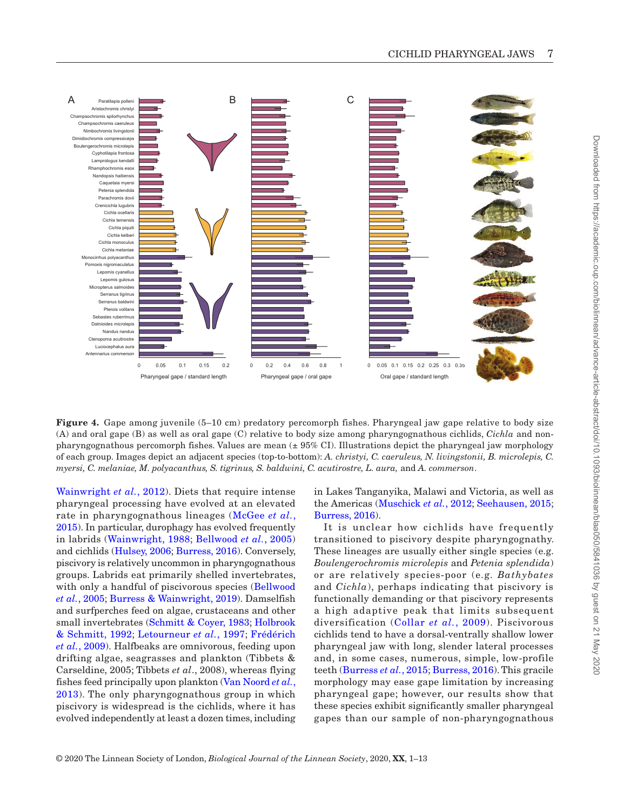

<span id="page-6-0"></span>**Figure 4.** Gape among juvenile (5–10 cm) predatory percomorph fishes. Pharyngeal jaw gape relative to body size (A) and oral gape (B) as well as oral gape (C) relative to body size among pharyngognathous cichlids, *Cichla* and nonpharyngognathous percomorph fishes. Values are mean (± 95% CI). Illustrations depict the pharyngeal jaw morphology of each group. Images depict an adjacent species (top-to-bottom): *A. christyi, C. caeruleus, N. livingstonii, B. microlepis, C. myersi, C. melaniae, M. polyacanthus, S. tigrinus, S. baldwini, C. acutirostre, L. aura,* and *A. commerson*.

[Wainwright](#page-11-8) *et al.*, 2012). Diets that require intense pharyngeal processing have evolved at an elevated rate in pharyngognathous lineages ([McGee](#page-10-3) *et al.*, [2015\)](#page-10-3). In particular, durophagy has evolved frequently in labrids ([Wainwright, 1988;](#page-11-18) [Bellwood](#page-9-17) *et al.*, 2005) and cichlids ([Hulsey, 2006](#page-10-6); [Burress, 2016\)](#page-9-18). Conversely, piscivory is relatively uncommon in pharyngognathous groups. Labrids eat primarily shelled invertebrates, with only a handful of piscivorous species [\(Bellwood](#page-9-17) *et al.*[, 2005](#page-9-17); [Burress & Wainwright, 2019\)](#page-9-19). Damselfish and surfperches feed on algae, crustaceans and other small invertebrates ([Schmitt & Coyer, 1983;](#page-11-19) [Holbrook](#page-10-26) [& Schmitt, 1992](#page-10-26); [Letourneur](#page-10-27) *et al.*, 1997; [Frédérich](#page-9-20) *et al.*[, 2009\)](#page-9-20). Halfbeaks are omnivorous, feeding upon drifting algae, seagrasses and plankton (Tibbets & Carseldine, 2005; Tibbets *et al*., 2008), whereas flying fishes feed principally upon plankton ([Van Noord](#page-11-20) *et al.*, [2013](#page-11-20)). The only pharyngognathous group in which piscivory is widespread is the cichlids, where it has evolved independently at least a dozen times, including

in Lakes Tanganyika, Malawi and Victoria, as well as the Americas [\(Muschick](#page-10-28) *et al.*, 2012; [Seehausen, 2015](#page-11-21); [Burress, 2016](#page-9-18)).

It is unclear how cichlids have frequently transitioned to piscivory despite pharyngognathy. These lineages are usually either single species (e.g. *Boulengerochromis microlepis* and *Petenia splendida*) or are relatively species-poor (e.g. *Bathybates* and *Cichla*), perhaps indicating that piscivory is functionally demanding or that piscivory represents a high adaptive peak that limits subsequent diversification ([Collar](#page-9-1) *et al.*, 2009). Piscivorous cichlids tend to have a dorsal-ventrally shallow lower pharyngeal jaw with long, slender lateral processes and, in some cases, numerous, simple, low-profile teeth ([Burress](#page-9-5) *et al.*, 2015; [Burress, 2016\)](#page-9-18). This gracile morphology may ease gape limitation by increasing pharyngeal gape; however, our results show that these species exhibit significantly smaller pharyngeal gapes than our sample of non-pharyngognathous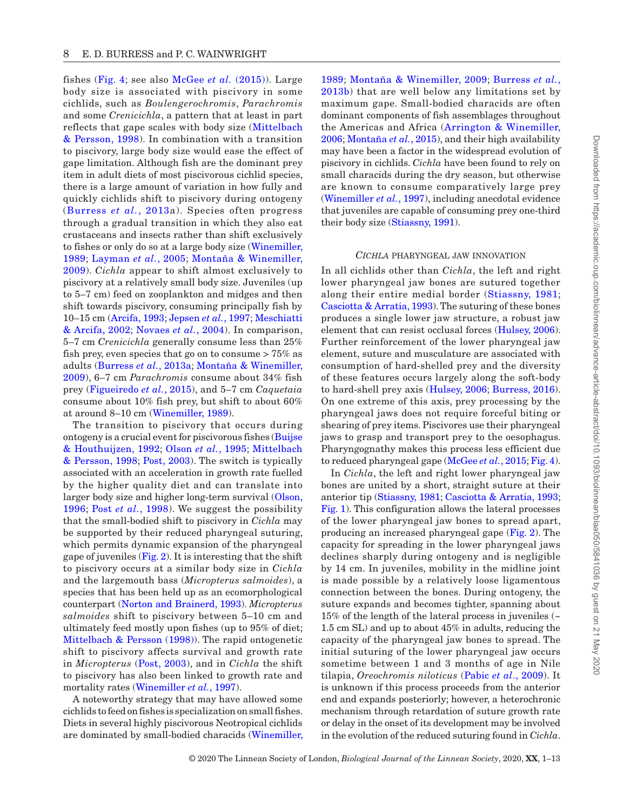fishes ([Fig.](#page-6-0) 4; see also [McGee](#page-10-3) *et al.* (2015)). Large body size is associated with piscivory in some cichlids, such as *Boulengerochromis*, *Parachromis* and some *Crenicichla*, a pattern that at least in part reflects that gape scales with body size ([Mittelbach](#page-10-8) [& Persson, 1998](#page-10-8)). In combination with a transition to piscivory, large body size would ease the effect of gape limitation. Although fish are the dominant prey item in adult diets of most piscivorous cichlid species, there is a large amount of variation in how fully and quickly cichlids shift to piscivory during ontogeny ([Burress](#page-9-21) *et al.*, 2013a). Species often progress through a gradual transition in which they also eat crustaceans and insects rather than shift exclusively to fishes or only do so at a large body size [\(Winemiller,](#page-12-1) [1989;](#page-12-1) [Layman](#page-10-14) *et al.*, 2005; [Montaña & Winemiller,](#page-10-19) [2009\)](#page-10-19). *Cichla* appear to shift almost exclusively to piscivory at a relatively small body size. Juveniles (up to 5–7 cm) feed on zooplankton and midges and then shift towards piscivory, consuming principally fish by 10–15 cm [\(Arcifa, 1993;](#page-9-22) [Jepsen](#page-10-15) *et al.*, 1997; [Meschiatti](#page-10-29) [& Arcifa, 2002;](#page-10-29) [Novaes](#page-10-13) *et al.*, 2004). In comparison, 5–7 cm *Crenicichla* generally consume less than 25% fish prey, even species that go on to consume  $> 75\%$  as adults [\(Burress](#page-9-21) *et al.*, 2013a; [Montaña & Winemiller,](#page-10-19) [2009](#page-10-19)), 6–7 cm *Parachromis* consume about 34% fish prey ([Figueiredo](#page-9-23) *et al.*, 2015), and 5–7 cm *Caquetaia* consume about 10% fish prey, but shift to about 60% at around 8–10 cm [\(Winemiller, 1989](#page-12-1)).

The transition to piscivory that occurs during ontogeny is a crucial event for piscivorous fishes [\(Buijse](#page-9-24) [& Houthuijzen, 1992](#page-9-24); [Olson](#page-11-22) *et al.*, 1995; [Mittelbach](#page-10-8)  [& Persson, 1998;](#page-10-8) [Post, 2003\)](#page-11-23). The switch is typically associated with an acceleration in growth rate fuelled by the higher quality diet and can translate into larger body size and higher long-term survival [\(Olson,](#page-11-24) [1996;](#page-11-24) Post *et al.*[, 1998\)](#page-11-25). We suggest the possibility that the small-bodied shift to piscivory in *Cichla* may be supported by their reduced pharyngeal suturing, which permits dynamic expansion of the pharyngeal gape of juveniles  $(Fig, 2)$ . It is interesting that the shift to piscivory occurs at a similar body size in *Cichla* and the largemouth bass (*Micropterus salmoides*), a species that has been held up as an ecomorphological counterpart [\(Norton and Brainerd, 1993\)](#page-10-10). *Micropterus salmoides* shift to piscivory between 5–10 cm and ultimately feed mostly upon fishes (up to 95% of diet; [Mittelbach & Persson \(1998\)](#page-10-8)). The rapid ontogenetic shift to piscivory affects survival and growth rate in *Micropterus* ([Post, 2003](#page-11-23)), and in *Cichla* the shift to piscivory has also been linked to growth rate and mortality rates [\(Winemiller](#page-12-3) *et al.*, 1997).

A noteworthy strategy that may have allowed some cichlids to feed on fishes is specialization on small fishes. Diets in several highly piscivorous Neotropical cichlids are dominated by small-bodied characids ([Winemiller,](#page-12-1) [1989;](#page-12-1) [Montaña & Winemiller, 2009](#page-10-19); [Burress](#page-9-21) *et al.*, [2013b\)](#page-9-21) that are well below any limitations set by maximum gape. Small-bodied characids are often dominant components of fish assemblages throughout the Americas and Africa ([Arrington & Winemiller,](#page-9-25)  [2006;](#page-9-25) [Montaña](#page-10-30) *et al.*, 2015), and their high availability may have been a factor in the widespread evolution of piscivory in cichlids. *Cichla* have been found to rely on small characids during the dry season, but otherwise are known to consume comparatively large prey [\(Winemiller](#page-12-3) *et al.*, 1997), including anecdotal evidence that juveniles are capable of consuming prey one-third their body size [\(Stiassny, 1991\)](#page-11-26).

#### *Cichla* pharyngeal jaw innovation

In all cichlids other than *Cichla*, the left and right lower pharyngeal jaw bones are sutured together along their entire medial border ([Stiassny, 1981;](#page-11-5) [Casciotta & Arratia, 1993\)](#page-9-4). The suturing of these bones produces a single lower jaw structure, a robust jaw element that can resist occlusal forces ([Hulsey, 2006\)](#page-10-6). Further reinforcement of the lower pharyngeal jaw element, suture and musculature are associated with consumption of hard-shelled prey and the diversity of these features occurs largely along the soft-body to hard-shell prey axis ([Hulsey, 2006](#page-10-6); [Burress, 2016\)](#page-9-18). On one extreme of this axis, prey processing by the pharyngeal jaws does not require forceful biting or shearing of prey items. Piscivores use their pharyngeal jaws to grasp and transport prey to the oesophagus. Pharyngognathy makes this process less efficient due to reduced pharyngeal gape ([McGee](#page-10-3) *et al.*, 2015; [Fig.](#page-6-0) 4).

In *Cichla*, the left and right lower pharyngeal jaw bones are united by a short, straight suture at their anterior tip ([Stiassny, 1981](#page-11-5); [Casciotta & Arratia, 1993;](#page-9-4) [Fig.](#page-1-0) 1). This configuration allows the lateral processes of the lower pharyngeal jaw bones to spread apart, producing an increased pharyngeal gape [\(Fig.](#page-4-0) 2). The capacity for spreading in the lower pharyngeal jaws declines sharply during ontogeny and is negligible by 14 cm. In juveniles, mobility in the midline joint is made possible by a relatively loose ligamentous connection between the bones. During ontogeny, the suture expands and becomes tighter, spanning about 15% of the length of the lateral process in juveniles (~ 1.5 cm SL) and up to about 45% in adults, reducing the capacity of the pharyngeal jaw bones to spread. The initial suturing of the lower pharyngeal jaw occurs sometime between 1 and 3 months of age in Nile tilapia, *Oreochromis niloticus* (Pabic *et al*[., 2009\)](#page-11-27). It is unknown if this process proceeds from the anterior end and expands posteriorly; however, a heterochronic mechanism through retardation of suture growth rate or delay in the onset of its development may be involved in the evolution of the reduced suturing found in *Cichla*.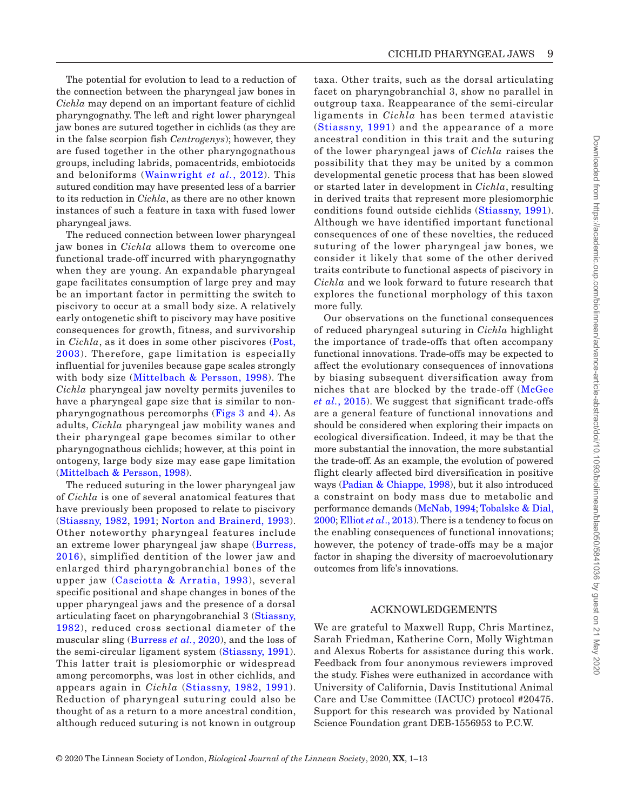The potential for evolution to lead to a reduction of the connection between the pharyngeal jaw bones in *Cichla* may depend on an important feature of cichlid pharyngognathy. The left and right lower pharyngeal jaw bones are sutured together in cichlids (as they are in the false scorpion fish *Centrogenys*); however, they are fused together in the other pharyngognathous groups, including labrids, pomacentrids, embiotocids and beloniforms ([Wainwright](#page-11-8) *et al.*, 2012). This sutured condition may have presented less of a barrier to its reduction in *Cichla*, as there are no other known instances of such a feature in taxa with fused lower pharyngeal jaws.

The reduced connection between lower pharyngeal jaw bones in *Cichla* allows them to overcome one functional trade-off incurred with pharyngognathy when they are young. An expandable pharyngeal gape facilitates consumption of large prey and may be an important factor in permitting the switch to piscivory to occur at a small body size. A relatively early ontogenetic shift to piscivory may have positive consequences for growth, fitness, and survivorship in *Cichla*, as it does in some other piscivores ([Post,](#page-11-23) [2003\)](#page-11-23). Therefore, gape limitation is especially influential for juveniles because gape scales strongly with body size ([Mittelbach & Persson, 1998\)](#page-10-8). The *Cichla* pharyngeal jaw novelty permits juveniles to have a pharyngeal gape size that is similar to nonpharyngognathous percomorphs ([Figs](#page-5-0) 3 and [4](#page-6-0)). As adults, *Cichla* pharyngeal jaw mobility wanes and their pharyngeal gape becomes similar to other pharyngognathous cichlids; however, at this point in ontogeny, large body size may ease gape limitation ([Mittelbach & Persson, 1998](#page-10-8)).

The reduced suturing in the lower pharyngeal jaw of *Cichla* is one of several anatomical features that have previously been proposed to relate to piscivory ([Stiassny, 1982](#page-11-6), [1991](#page-11-26); [Norton and Brainerd, 1993\)](#page-10-10). Other noteworthy pharyngeal features include an extreme lower pharyngeal jaw shape ([Burress,](#page-9-18) [2016](#page-9-18)), simplified dentition of the lower jaw and enlarged third pharyngobranchial bones of the upper jaw ([Casciotta & Arratia, 1993\)](#page-9-4), several specific positional and shape changes in bones of the upper pharyngeal jaws and the presence of a dorsal articulating facet on pharyngobranchial 3 ([Stiassny,](#page-11-6) [1982\)](#page-11-6), reduced cross sectional diameter of the muscular sling [\(Burress](#page-9-2) *et al.*, 2020), and the loss of the semi-circular ligament system ([Stiassny, 1991\)](#page-11-26). This latter trait is plesiomorphic or widespread among percomorphs, was lost in other cichlids, and appears again in *Cichla* ([Stiassny, 1982,](#page-11-6) [1991](#page-11-26)). Reduction of pharyngeal suturing could also be thought of as a return to a more ancestral condition, although reduced suturing is not known in outgroup

taxa. Other traits, such as the dorsal articulating facet on pharyngobranchial 3, show no parallel in outgroup taxa. Reappearance of the semi-circular ligaments in *Cichla* has been termed atavistic ([Stiassny, 1991](#page-11-26)) and the appearance of a more ancestral condition in this trait and the suturing of the lower pharyngeal jaws of *Cichla* raises the possibility that they may be united by a common developmental genetic process that has been slowed or started later in development in *Cichla*, resulting in derived traits that represent more plesiomorphic conditions found outside cichlids ([Stiassny, 1991\)](#page-11-26). Although we have identified important functional consequences of one of these novelties, the reduced suturing of the lower pharyngeal jaw bones, we consider it likely that some of the other derived traits contribute to functional aspects of piscivory in *Cichla* and we look forward to future research that explores the functional morphology of this taxon more fully.

Our observations on the functional consequences of reduced pharyngeal suturing in *Cichla* highlight the importance of trade-offs that often accompany functional innovations. Trade-offs may be expected to affect the evolutionary consequences of innovations by biasing subsequent diversification away from niches that are blocked by the trade-off ([McGee](#page-10-3) *et al.*[, 2015\)](#page-10-3). We suggest that significant trade-offs are a general feature of functional innovations and should be considered when exploring their impacts on ecological diversification. Indeed, it may be that the more substantial the innovation, the more substantial the trade-off. As an example, the evolution of powered flight clearly affected bird diversification in positive ways [\(Padian & Chiappe, 1998](#page-11-28)), but it also introduced a constraint on body mass due to metabolic and performance demands [\(McNab, 1994](#page-10-31); [Tobalske & Dial,](#page-11-29) [2000;](#page-11-29) Elliot *et al*[., 2013\)](#page-9-26). There is a tendency to focus on the enabling consequences of functional innovations; however, the potency of trade-offs may be a major factor in shaping the diversity of macroevolutionary outcomes from life's innovations.

## ACKNOWLEDGEMENTS

We are grateful to Maxwell Rupp, Chris Martinez, Sarah Friedman, Katherine Corn, Molly Wightman and Alexus Roberts for assistance during this work. Feedback from four anonymous reviewers improved the study. Fishes were euthanized in accordance with University of California, Davis Institutional Animal Care and Use Committee (IACUC) protocol #20475. Support for this research was provided by National Science Foundation grant DEB-1556953 to P.C.W.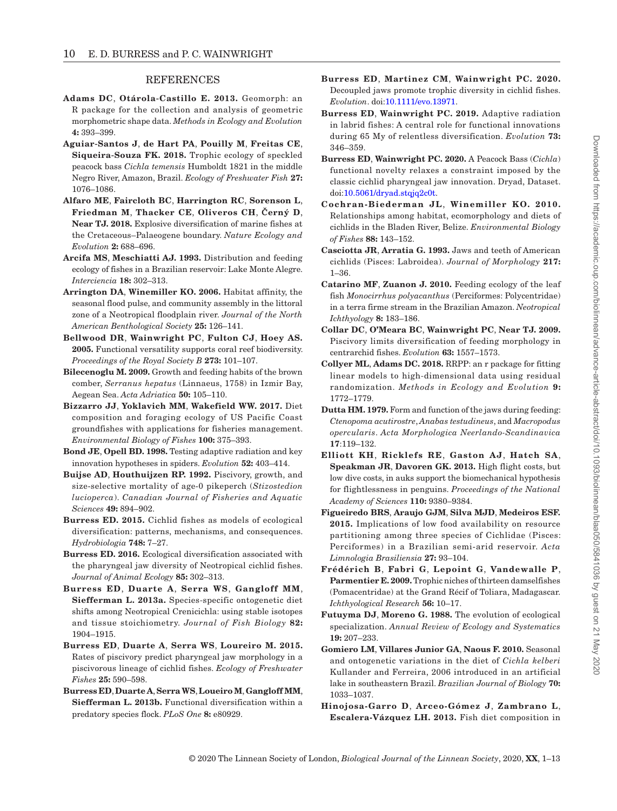#### REFERENCES

- <span id="page-9-14"></span>**Adams DC**, **Otárola‐Castillo E. 2013.** Geomorph: an R package for the collection and analysis of geometric morphometric shape data. *Methods in Ecology and Evolution* **4:** 393–399.
- <span id="page-9-8"></span>**Aguiar‐Santos J**, **de Hart PA**, **Pouilly M**, **Freitas CE**, **Siqueira‐Souza FK. 2018.** Trophic ecology of speckled peacock bass *Cichla temensis* Humboldt 1821 in the middle Negro River, Amazon, Brazil. *Ecology of Freshwater Fish* **27:**  1076–1086.
- <span id="page-9-6"></span>**Alfaro ME**, **Faircloth BC**, **Harrington RC**, **Sorenson L**, **Friedman M**, **Thacker CE**, **Oliveros CH**, **Černý D**, **Near TJ. 2018.** Explosive diversification of marine fishes at the Cretaceous–Palaeogene boundary. *Nature Ecology and Evolution* **2:** 688–696.
- <span id="page-9-22"></span>**Arcifa MS**, **Meschiatti AJ. 1993.** Distribution and feeding ecology of fishes in a Brazilian reservoir: Lake Monte Alegre. *Interciencia* **18:** 302–313.
- <span id="page-9-25"></span>**Arrington DA**, **Winemiller KO. 2006.** Habitat affinity, the seasonal flood pulse, and community assembly in the littoral zone of a Neotropical floodplain river. *Journal of the North American Benthological Society* **25:** 126–141.
- <span id="page-9-17"></span>**Bellwood DR**, **Wainwright PC**, **Fulton CJ**, **Hoey AS. 2005.** Functional versatility supports coral reef biodiversity. *Proceedings of the Royal Society B* **273:** 101–107.
- <span id="page-9-16"></span>**Bilecenoglu M. 2009.** Growth and feeding habits of the brown comber, *Serranus hepatus* (Linnaeus, 1758) in Izmir Bay, Aegean Sea. *Acta Adriatica* **50:** 105–110.
- <span id="page-9-15"></span>**Bizzarro JJ**, **Yoklavich MM**, **Wakefield WW. 2017.** Diet composition and foraging ecology of US Pacific Coast groundfishes with applications for fisheries management. *Environmental Biology of Fishes* **100:** 375–393.
- <span id="page-9-3"></span>**Bond JE**, **Opell BD. 1998.** Testing adaptive radiation and key innovation hypotheses in spiders. *Evolution* **52:** 403–414.
- <span id="page-9-24"></span>**Buijse AD**, **Houthuijzen RP. 1992.** Piscivory, growth, and size-selective mortality of age-0 pikeperch (*Stizostedion lucioperca*). *Canadian Journal of Fisheries and Aquatic Sciences* **49:** 894–902.
- **Burress ED. 2015.** Cichlid fishes as models of ecological diversification: patterns, mechanisms, and consequences. *Hydrobiologia* **748:** 7–27.
- <span id="page-9-18"></span>**Burress ED. 2016.** Ecological diversification associated with the pharyngeal jaw diversity of Neotropical cichlid fishes. *Journal of Animal Ecology* **85:** 302–313.
- **Burress ED**, **Duarte A**, **Serra WS**, **Gangloff MM**, **Siefferman L. 2013a.** Species‐specific ontogenetic diet shifts among Neotropical Crenicichla: using stable isotopes and tissue stoichiometry. *Journal of Fish Biology* **82:**  1904–1915.
- <span id="page-9-5"></span>**Burress ED**, **Duarte A**, **Serra WS**, **Loureiro M. 2015.**  Rates of piscivory predict pharyngeal jaw morphology in a piscivorous lineage of cichlid fishes. *Ecology of Freshwater Fishes* **25:** 590–598.
- <span id="page-9-21"></span>**Burress ED**, **Duarte A**, **SerraWS**, **Loueiro M**, **Gangloff MM**, **Siefferman L. 2013b.** Functional diversification within a predatory species flock. *PLoS One* **8:** e80929.
- <span id="page-9-2"></span>**Burress ED**, **Martinez CM**, **Wainwright PC. 2020.**  Decoupled jaws promote trophic diversity in cichlid fishes. *Evolution*. doi:[10.1111/evo.13971.](https://doi.org/10.1111/evo.13971)
- <span id="page-9-19"></span>**Burress ED**, **Wainwright PC. 2019.** Adaptive radiation in labrid fishes: A central role for functional innovations during 65 My of relentless diversification. *Evolution* **73:**  346–359.
- <span id="page-9-27"></span>**Burress ED**, **Wainwright PC. 2020.** A Peacock Bass (*Cichla*) functional novelty relaxes a constraint imposed by the classic cichlid pharyngeal jaw innovation. Dryad, Dataset. doi:[10.5061/dryad.stqjq2c0t](https://doi.org/10.5061/dryad.stqjq2c0t).
- <span id="page-9-12"></span>**Cochran-Biederman JL**, **Winemiller KO. 2010.**  Relationships among habitat, ecomorphology and diets of cichlids in the Bladen River, Belize. *Environmental Biology of Fishes* **88:** 143–152.
- <span id="page-9-4"></span>**Casciotta JR**, **Arratia G. 1993.** Jaws and teeth of American cichlids (Pisces: Labroidea). *Journal of Morphology* **217:**  1–36.
- <span id="page-9-10"></span>**Catarino MF**, **Zuanon J. 2010.** Feeding ecology of the leaf fish *Monocirrhus polyacanthus* (Perciformes: Polycentridae) in a terra firme stream in the Brazilian Amazon. *Neotropical Ichthyology* **8:** 183–186.
- <span id="page-9-1"></span>**Collar DC**, **O'Meara BC**, **Wainwright PC**, **Near TJ. 2009.**  Piscivory limits diversification of feeding morphology in centrarchid fishes. *Evolution* **63:** 1557–1573.
- <span id="page-9-13"></span>**Collyer ML**, **Adams DC. 2018.** RRPP: an r package for fitting linear models to high‐dimensional data using residual randomization. *Methods in Ecology and Evolution* **9:**  1772–1779.
- <span id="page-9-9"></span>**Dutta HM. 1979.** Form and function of the jaws during feeding: *Ctenopoma acutirostre*, *Anabas testudineus*, and *Macropodus opercularis*. *Acta Morphologica Neerlando-Scandinavica* **17**:119–132.
- <span id="page-9-26"></span>**Elliott KH**, **Ricklefs RE**, **Gaston AJ**, **Hatch SA**, **Speakman JR**, **Davoren GK. 2013.** High flight costs, but low dive costs, in auks support the biomechanical hypothesis for flightlessness in penguins. *Proceedings of the National Academy of Sciences* **110:** 9380–9384.
- <span id="page-9-23"></span>**Figueiredo BRS**, **Araujo GJM**, **Silva MJD**, **Medeiros ESF. 2015.** Implications of low food availability on resource partitioning among three species of Cichlidae (Pisces: Perciformes) in a Brazilian semi-arid reservoir. *Acta Limnologia Brasiliensia* **27:** 93–104.
- <span id="page-9-20"></span>**Frédérich B**, **Fabri G**, **Lepoint G**, **Vandewalle P**, **Parmentier E. 2009.** Trophic niches of thirteen damselfishes (Pomacentridae) at the Grand Récif of Toliara, Madagascar. *Ichthyological Research* **56:** 10–17.
- <span id="page-9-0"></span>**Futuyma DJ**, **Moreno G. 1988.** The evolution of ecological specialization. *Annual Review of Ecology and Systematics* **19:** 207–233.
- <span id="page-9-7"></span>**Gomiero LM**, **Villares Junior GA**, **Naous F. 2010.** Seasonal and ontogenetic variations in the diet of *Cichla kelberi* Kullander and Ferreira, 2006 introduced in an artificial lake in southeastern Brazil. *Brazilian Journal of Biology* **70:**  1033–1037.
- <span id="page-9-11"></span>**Hinojosa-Garro D**, **Arceo-Gómez J**, **Zambrano L**, **Escalera-Vázquez LH. 2013.** Fish diet composition in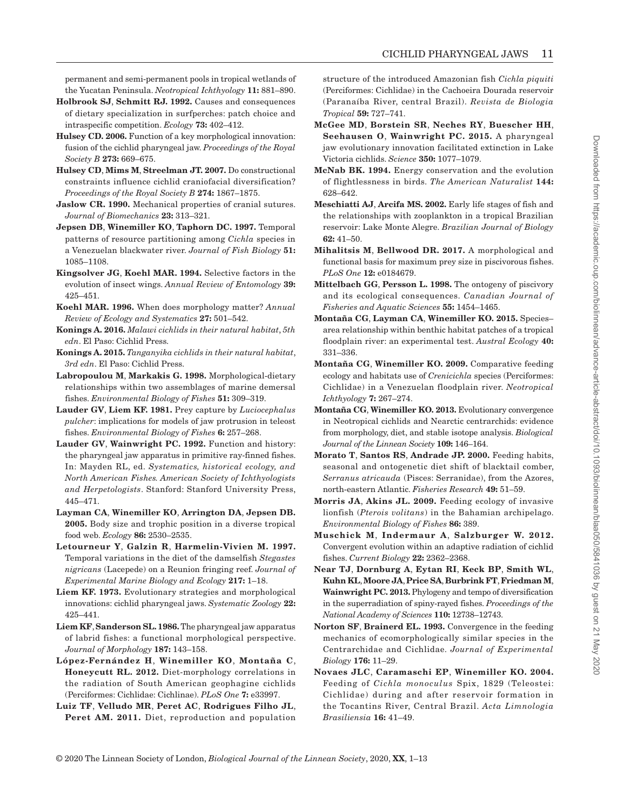permanent and semi-permanent pools in tropical wetlands of the Yucatan Peninsula. *Neotropical Ichthyology* **11:** 881–890.

- <span id="page-10-26"></span>**Holbrook SJ**, **Schmitt RJ. 1992.** Causes and consequences of dietary specialization in surfperches: patch choice and intraspecific competition. *Ecology* **73:** 402–412.
- <span id="page-10-6"></span>**Hulsey CD. 2006.** Function of a key morphological innovation: fusion of the cichlid pharyngeal jaw. *Proceedings of the Royal Society B* **273:** 669–675.
- <span id="page-10-23"></span>**Hulsey CD**, **Mims M**, **Streelman JT. 2007.** Do constructional constraints influence cichlid craniofacial diversification? *Proceedings of the Royal Society B* **274:** 1867–1875.
- <span id="page-10-7"></span>**Jaslow CR. 1990.** Mechanical properties of cranial sutures. *Journal of Biomechanics* **23:** 313–321.
- <span id="page-10-15"></span>**Jepsen DB**, **Winemiller KO**, **Taphorn DC. 1997.** Temporal patterns of resource partitioning among *Cichla* species in a Venezuelan blackwater river. *Journal of Fish Biology* **51:**  1085–1108.
- <span id="page-10-2"></span>**Kingsolver JG**, **Koehl MAR. 1994.** Selective factors in the evolution of insect wings. *Annual Review of Entomology* **39:**  425–451.
- <span id="page-10-0"></span>**Koehl MAR. 1996.** When does morphology matter? *Annual Review of Ecology and Systematics* **27:** 501–542.
- <span id="page-10-11"></span>**Konings A. 2016.** *Malawi cichlids in their natural habitat*, *5th edn*. El Paso: Cichlid Press.
- <span id="page-10-12"></span>**Konings A. 2015.** *Tanganyika cichlids in their natural habitat*, *3rd edn*. El Paso: Cichlid Press.
- <span id="page-10-24"></span>**Labropoulou M**, **Markakis G. 1998.** Morphological-dietary relationships within two assemblages of marine demersal fishes. *Environmental Biology of Fishes* **51:** 309–319.
- <span id="page-10-20"></span>**Lauder GV**, **Liem KF. 1981.** Prey capture by *Luciocephalus pulcher*: implications for models of jaw protrusion in teleost fishes. *Environmental Biology of Fishes* **6:** 257–268.
- <span id="page-10-4"></span>**Lauder GV**, **Wainwright PC. 1992.** Function and history: the pharyngeal jaw apparatus in primitive ray-finned fishes. In: Mayden RL, ed. *Systematics, historical ecology, and North American Fishes. American Society of Ichthyologists and Herpetologists*. Stanford: Stanford University Press, 445–471.
- <span id="page-10-14"></span>**Layman CA**, **Winemiller KO**, **Arrington DA**, **Jepsen DB. 2005.** Body size and trophic position in a diverse tropical food web. *Ecology* **86:** 2530–2535.
- <span id="page-10-27"></span>**Letourneur Y**, **Galzin R**, **Harmelin-Vivien M. 1997.**  Temporal variations in the diet of the damselfish *Stegastes nigricans* (Lacepede) on a Reunion fringing reef. *Journal of Experimental Marine Biology and Ecology* **217:** 1–18.
- <span id="page-10-1"></span>**Liem KF. 1973.** Evolutionary strategies and morphological innovations: cichlid pharyngeal jaws. *Systematic Zoology* **22:**  425–441.
- <span id="page-10-5"></span>**Liem KF**, **Sanderson SL. 1986.** The pharyngeal jaw apparatus of labrid fishes: a functional morphological perspective. *Journal of Morphology* **187:** 143–158.
- <span id="page-10-16"></span>**López-Fernández H**, **Winemiller KO**, **Montaña C**, **Honeycutt RL. 2012.** Diet-morphology correlations in the radiation of South American geophagine cichlids (Perciformes: Cichlidae: Cichlinae). *PLoS One* **7:** e33997.
- <span id="page-10-18"></span>**Luiz TF**, **Velludo MR**, **Peret AC**, **Rodrigues Filho JL**, **Peret AM. 2011.** Diet, reproduction and population

structure of the introduced Amazonian fish *Cichla piquiti* (Perciformes: Cichlidae) in the Cachoeira Dourada reservoir (Paranaíba River, central Brazil). *Revista de Biologia Tropical* **59:** 727–741.

- <span id="page-10-3"></span>**McGee MD**, **Borstein SR**, **Neches RY**, **Buescher HH**, **Seehausen O**, **Wainwright PC. 2015.** A pharyngeal jaw evolutionary innovation facilitated extinction in Lake Victoria cichlids. *Science* **350:** 1077–1079.
- <span id="page-10-31"></span>**McNab BK. 1994.** Energy conservation and the evolution of flightlessness in birds. *The American Naturalist* **144:**  628–642.
- <span id="page-10-29"></span>**Meschiatti AJ**, **Arcifa MS. 2002.** Early life stages of fish and the relationships with zooplankton in a tropical Brazilian reservoir: Lake Monte Alegre. *Brazilian Journal of Biology* **62:** 41–50.
- <span id="page-10-9"></span>**Mihalitsis M**, **Bellwood DR. 2017.** A morphological and functional basis for maximum prey size in piscivorous fishes. *PLoS One* **12:** e0184679.
- <span id="page-10-8"></span>**Mittelbach GG**, **Persson L. 1998.** The ontogeny of piscivory and its ecological consequences. *Canadian Journal of Fisheries and Aquatic Sciences* **55:** 1454–1465.
- <span id="page-10-30"></span>**Montaña CG**, **Layman CA**, **Winemiller KO. 2015.** Species– area relationship within benthic habitat patches of a tropical floodplain river: an experimental test. *Austral Ecology* **40:**  331–336.
- <span id="page-10-19"></span>**Montaña CG**, **Winemiller KO. 2009.** Comparative feeding ecology and habitats use of *Crenicichla* species (Perciformes: Cichlidae) in a Venezuelan floodplain river. *Neotropical Ichthyology* **7:** 267–274.
- <span id="page-10-17"></span>**Montaña CG**, **Winemiller KO. 2013.** Evolutionary convergence in Neotropical cichlids and Nearctic centrarchids: evidence from morphology, diet, and stable isotope analysis. *Biological Journal of the Linnean Society* **109:** 146–164.
- <span id="page-10-25"></span>**Morato T**, **Santos RS**, **Andrade JP. 2000.** Feeding habits, seasonal and ontogenetic diet shift of blacktail comber, *Serranus atricauda* (Pisces: Serranidae), from the Azores, north-eastern Atlantic. *Fisheries Research* **49:** 51–59.
- <span id="page-10-21"></span>**Morris JA**, **Akins JL. 2009.** Feeding ecology of invasive lionfish (*Pterois volitans*) in the Bahamian archipelago. *Environmental Biology of Fishes* **86:** 389.
- <span id="page-10-28"></span>**Muschick M**, **Indermaur A**, **Salzburger W. 2012.**  Convergent evolution within an adaptive radiation of cichlid fishes. *Current Biology* **22:** 2362–2368.
- <span id="page-10-22"></span>**Near TJ**, **Dornburg A**, **Eytan RI**, **Keck BP**, **Smith WL**, **Kuhn KL**, **Moore JA**, **Price SA**, **Burbrink FT**, **Friedman M**, **Wainwright PC. 2013.** Phylogeny and tempo of diversification in the superradiation of spiny-rayed fishes. *Proceedings of the National Academy of Sciences* **110:** 12738–12743.
- <span id="page-10-10"></span>**Norton SF**, **Brainerd EL. 1993.** Convergence in the feeding mechanics of ecomorphologically similar species in the Centrarchidae and Cichlidae. *Journal of Experimental Biology* **176:** 11–29.
- <span id="page-10-13"></span>**Novaes JLC**, **Caramaschi EP**, **Winemiller KO. 2004.**  Feeding of *Cichla monoculus* Spix, 1829 (Teleostei: Cichlidae) during and after reservoir formation in the Tocantins River, Central Brazil. *Acta Limnologia Brasiliensia* **16:** 41–49.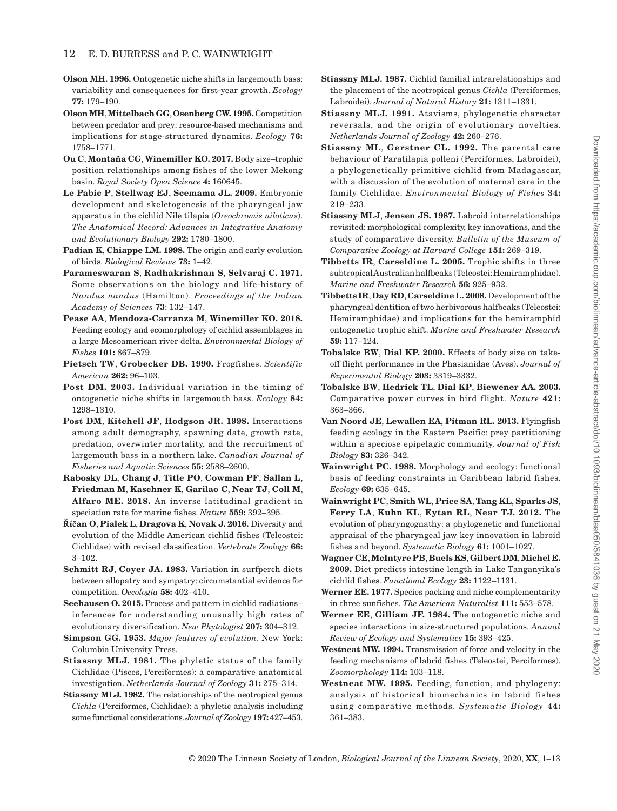- <span id="page-11-24"></span>**Olson MH. 1996.** Ontogenetic niche shifts in largemouth bass: variability and consequences for first-year growth. *Ecology* **77:** 179–190.
- <span id="page-11-22"></span>**OlsonMH**, **Mittelbach GG**, **Osenberg CW. 1995.** Competition between predator and prey: resource-based mechanisms and implications for stage-structured dynamics. *Ecology* **76:**  1758–1771.
- <span id="page-11-12"></span>**Ou C**, **Montaña CG**, **Winemiller KO. 2017.** Body size–trophic position relationships among fishes of the lower Mekong basin. *Royal Society Open Science* **4:** 160645.
- <span id="page-11-27"></span>**Le Pabic P**, **Stellwag EJ**, **Scemama JL. 2009.** Embryonic development and skeletogenesis of the pharyngeal jaw apparatus in the cichlid Nile tilapia (*Oreochromis niloticus*). *The Anatomical Record: Advances in Integrative Anatomy and Evolutionary Biology* **292:** 1780–1800.
- <span id="page-11-28"></span>**Padian K**, **Chiappe LM. 1998.** The origin and early evolution of birds. *Biological Reviews* **73:** 1–42.
- <span id="page-11-14"></span>**Parameswaran S**, **Radhakrishnan S**, **Selvaraj C. 1971.**  Some observations on the biology and life-history of *Nandus nandus* (Hamilton). *Proceedings of the Indian Academy of Sciences* **73**: 132–147.
- <span id="page-11-16"></span>**Pease AA**, **Mendoza-Carranza M**, **Winemiller KO. 2018.**  Feeding ecology and ecomorphology of cichlid assemblages in a large Mesoamerican river delta. *Environmental Biology of Fishes* **101:** 867–879.
- <span id="page-11-10"></span>**Pietsch TW**, **Grobecker DB. 1990.** Frogfishes. *Scientific American* **262:** 96–103.
- <span id="page-11-23"></span>**Post DM. 2003.** Individual variation in the timing of ontogenetic niche shifts in largemouth bass. *Ecology* **84:**  1298–1310.
- <span id="page-11-25"></span>**Post DM**, **Kitchell JF**, **Hodgson JR. 1998.** Interactions among adult demography, spawning date, growth rate, predation, overwinter mortality, and the recruitment of largemouth bass in a northern lake. *Canadian Journal of Fisheries and Aquatic Sciences* **55:** 2588–2600.
- <span id="page-11-17"></span>**Rabosky DL**, **Chang J**, **Title PO**, **Cowman PF**, **Sallan L**, **Friedman M**, **Kaschner K**, **Garilao C**, **Near TJ**, **Coll M**, **Alfaro ME. 2018.** An inverse latitudinal gradient in speciation rate for marine fishes. *Nature* **559:** 392–395.
- <span id="page-11-13"></span>**Říčan O**, **Pialek L**, **Dragova K**, **Novak J. 2016.** Diversity and evolution of the Middle American cichlid fishes (Teleostei: Cichlidae) with revised classification. *Vertebrate Zoology* **66:**  3–102.
- <span id="page-11-19"></span>**Schmitt RJ**, **Coyer JA. 1983.** Variation in surfperch diets between allopatry and sympatry: circumstantial evidence for competition. *Oecologia* **58:** 402–410.
- <span id="page-11-21"></span>**Seehausen O. 2015.** Process and pattern in cichlid radiations– inferences for understanding unusually high rates of evolutionary diversification. *New Phytologist* **207:** 304–312.
- <span id="page-11-3"></span>**Simpson GG. 1953.** *Major features of evolution*. New York: Columbia University Press.
- <span id="page-11-5"></span>**Stiassny MLJ. 1981.** The phyletic status of the family Cichlidae (Pisces, Perciformes): a comparative anatomical investigation. *Netherlands Journal of Zoology* **31:** 275–314.
- <span id="page-11-6"></span>**Stiassny MLJ. 1982.** The relationships of the neotropical genus *Cichla* (Perciformes, Cichlidae): a phyletic analysis including some functional considerations. *Journal of Zoology* **197:** 427–453.
- <span id="page-11-7"></span>**Stiassny MLJ. 1987.** Cichlid familial intrarelationships and the placement of the neotropical genus *Cichla* (Perciformes, Labroidei). *Journal of Natural History* **21:** 1311–1331.
- <span id="page-11-26"></span>**Stiassny MLJ. 1991.** Atavisms, phylogenetic character reversals, and the origin of evolutionary novelties. *Netherlands Journal of Zoology* **42:** 260–276.
- <span id="page-11-15"></span>**Stiassny ML**, **Gerstner CL. 1992.** The parental care behaviour of Paratilapia polleni (Perciformes, Labroidei), a phylogenetically primitive cichlid from Madagascar, with a discussion of the evolution of maternal care in the family Cichlidae. *Environmental Biology of Fishes* **34:**  219–233.
- <span id="page-11-4"></span>**Stiassny MLJ**, **Jensen JS. 1987.** Labroid interrelationships revisited: morphological complexity, key innovations, and the study of comparative diversity. *Bulletin of the Museum of Comparative Zoology at Harvard College* **151:** 269–319.
- **Tibbetts IR**, **Carseldine L. 2005.** Trophic shifts in three subtropical Australian halfbeaks (Teleostei: Hemiramphidae). *Marine and Freshwater Research* **56:** 925–932.
- **Tibbetts IR**, **Day RD**, **Carseldine L. 2008.** Development of the pharyngeal dentition of two herbivorous halfbeaks (Teleostei: Hemiramphidae) and implications for the hemiramphid ontogenetic trophic shift. *Marine and Freshwater Research* **59:** 117–124.
- <span id="page-11-29"></span>**Tobalske BW**, **Dial KP. 2000.** Effects of body size on takeoff flight performance in the Phasianidae (Aves). *Journal of Experimental Biology* **203:** 3319–3332.
- <span id="page-11-2"></span>**Tobalske BW**, **Hedrick TL**, **Dial KP**, **Biewener AA. 2003.**  Comparative power curves in bird flight. *Nature* **421:**  363–366.
- <span id="page-11-20"></span>**Van Noord JE**, **Lewallen EA**, **Pitman RL. 2013.** Flyingfish feeding ecology in the Eastern Pacific: prey partitioning within a speciose epipelagic community. *Journal of Fish Biology* **83:** 326–342.
- <span id="page-11-18"></span>**Wainwright PC. 1988.** Morphology and ecology: functional basis of feeding constraints in Caribbean labrid fishes. *Ecology* **69:** 635–645.
- <span id="page-11-8"></span>**Wainwright PC**, **Smith WL**, **Price SA**, **Tang KL**, **Sparks JS**, **Ferry LA**, **Kuhn KL**, **Eytan RL**, **Near TJ. 2012.** The evolution of pharyngognathy: a phylogenetic and functional appraisal of the pharyngeal jaw key innovation in labroid fishes and beyond. *Systematic Biology* **61:** 1001–1027.
- <span id="page-11-11"></span>**Wagner CE**, **McIntyre PB**, **Buels KS**, **Gilbert DM**, **Michel E. 2009.** Diet predicts intestine length in Lake Tanganyika's cichlid fishes. *Functional Ecology* **23:** 1122–1131.
- **Werner EE. 1977.** Species packing and niche complementarity in three sunfishes. *The American Naturalist* **111:** 553–578.
- <span id="page-11-9"></span>**Werner EE**, **Gilliam JF. 1984.** The ontogenetic niche and species interactions in size-structured populations. *Annual Review of Ecology and Systematics* **15:** 393–425.
- <span id="page-11-0"></span>**Westneat MW. 1994.** Transmission of force and velocity in the feeding mechanisms of labrid fishes (Teleostei, Perciformes). *Zoomorphology* **114:** 103–118.
- <span id="page-11-1"></span>**Westneat MW. 1995.** Feeding, function, and phylogeny: analysis of historical biomechanics in labrid fishes using comparative methods. *Systematic Biology* **44:**  361–383.